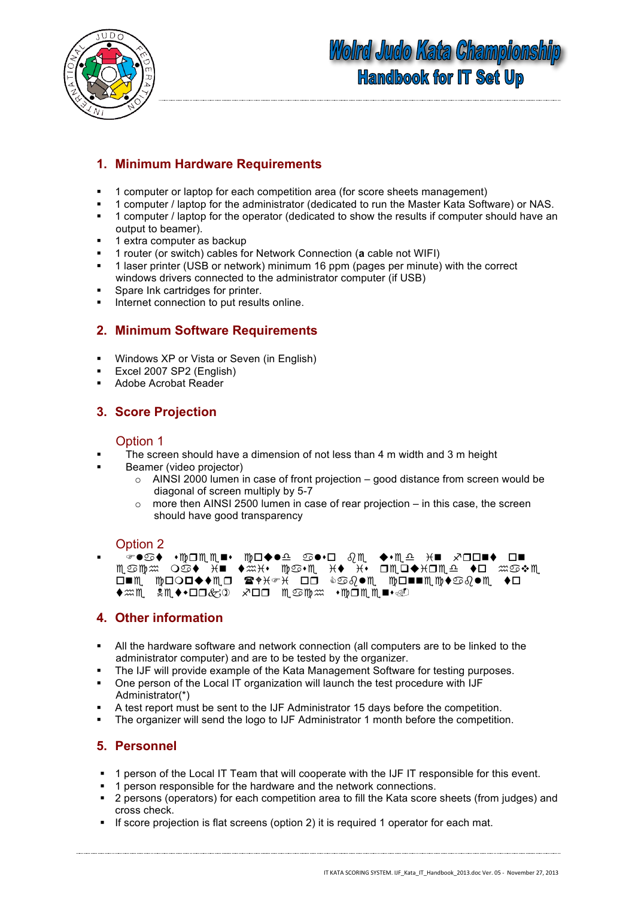



### **1. Minimum Hardware Requirements**

- 1 computer or laptop for each competition area (for score sheets management)
- 1 computer / laptop for the administrator (dedicated to run the Master Kata Software) or NAS.
- <sup>■</sup> 1 computer / laptop for the operator (dedicated to show the results if computer should have an output to beamer).
- $\blacksquare$  1 extra computer as backup
- 1 router (or switch) cables for Network Connection (**a** cable not WIFI)
- 1 laser printer (USB or network) minimum 16 ppm (pages per minute) with the correct windows drivers connected to the administrator computer (if USB)
- Spare Ink cartridges for printer.
- **Internet connection to put results online.**

### **2. Minimum Software Requirements**

- **Windows XP or Vista or Seven (in English)**
- Excel 2007 SP2 (English)
- Adobe Acrobat Reader

### **3. Score Projection**

#### Option 1

- The screen should have a dimension of not less than 4 m width and 3 m height
- Beamer (video projector)
	- $\circ$  AINSI 2000 lumen in case of front projection good distance from screen would be diagonal of screen multiply by 5-7
	- $\circ$  more then AINSI 2500 lumen in case of rear projection in this case, the screen should have good transparency

#### Option 2

▪ ☞●♋♦ •</del>⊡ጢጢ■• ኲㅁ♠●≏ ♋●•ㅁ ତृጢ ◆•ጢ≏ <del>X</del>■ *x*ంo■♦ ㅁ■ Mූত™≈ O©♦ X■ ♦≈X+• ™©•M¸ X♦ X• OMO♦XOM໊≏ ♦O ≈©•\$M ◘■₩ ₩□○□◆◆₩□ ☎◆₭☞₭ □□ ◈♋{●₩ ₩□■■₩₩◆♋{@♥₩ ◆□ ♦≈m !M◆•□□&① *×*□□ m⊙m≈ •m□mm•⊴O

### **4. Other information**

- All the hardware software and network connection (all computers are to be linked to the administrator computer) and are to be tested by the organizer.
- The IJF will provide example of the Kata Management Software for testing purposes.
- One person of the Local IT organization will launch the test procedure with IJF Administrator(\*)
- A test report must be sent to the IJF Administrator 15 days before the competition.
- The organizer will send the logo to IJF Administrator 1 month before the competition.

#### **5. Personnel**

- 1 person of the Local IT Team that will cooperate with the IJF IT responsible for this event.
- **1** person responsible for the hardware and the network connections.
- 2 persons (operators) for each competition area to fill the Kata score sheets (from judges) and cross check.
- If score projection is flat screens (option 2) it is required 1 operator for each mat.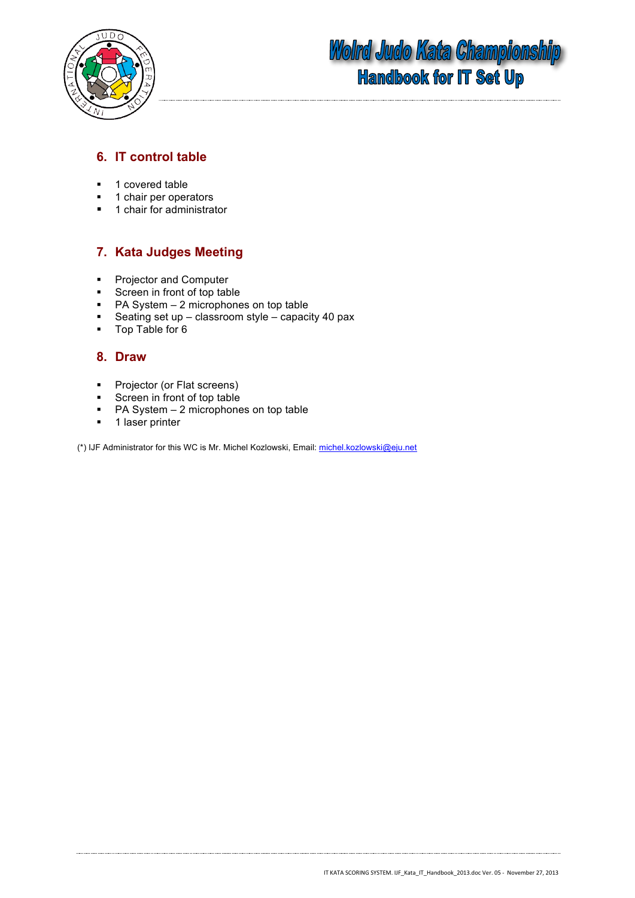

### **6. IT control table**

- <sup>1</sup> 1 covered table
- **1** chair per operators
- 1 chair for administrator

### **7. Kata Judges Meeting**

- **Projector and Computer**
- **Screen in front of top table**
- $P$ A System 2 microphones on top table
- Seating set up classroom style capacity 40 pax<br> $\blacksquare$  Top Table for 6
- Top Table for 6

#### **8. Draw**

- **Projector (or Flat screens)**
- Screen in front of top table
- PA System 2 microphones on top table
- **1** laser printer

(\*) IJF Administrator for this WC is Mr. Michel Kozlowski, Email: michel.kozlowski@eju.net